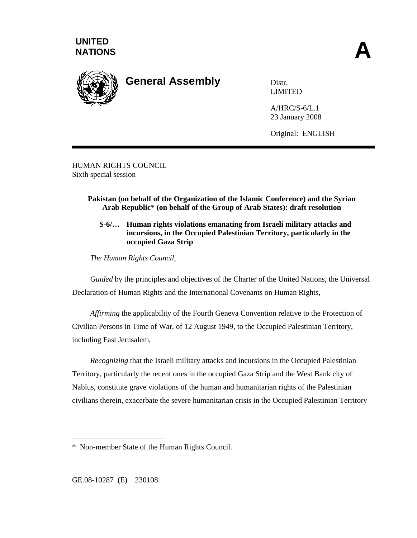

**General Assembly** Distr.

LIMITED

A/HRC/S-6/L.1 23 January 2008

Original: ENGLISH

HUMAN RIGHTS COUNCIL Sixth special session

## **Pakistan (on behalf of the Organization of the Islamic Conference) and the Syrian Arab Republic**\* **(on behalf of the Group of Arab States): draft resolution**

**S-6/… Human rights violations emanating from Israeli military attacks and incursions, in the Occupied Palestinian Territory, particularly in the occupied Gaza Strip**

*The Human Rights Council*,

*Guided* by the principles and objectives of the Charter of the United Nations, the Universal Declaration of Human Rights and the International Covenants on Human Rights,

*Affirming* the applicability of the Fourth Geneva Convention relative to the Protection of Civilian Persons in Time of War, of 12 August 1949, to the Occupied Palestinian Territory, including East Jerusalem,

*Recognizing* that the Israeli military attacks and incursions in the Occupied Palestinian Territory, particularly the recent ones in the occupied Gaza Strip and the West Bank city of Nablus, constitute grave violations of the human and humanitarian rights of the Palestinian civilians therein, exacerbate the severe humanitarian crisis in the Occupied Palestinian Territory

<sup>\*</sup> Non-member State of the Human Rights Council.